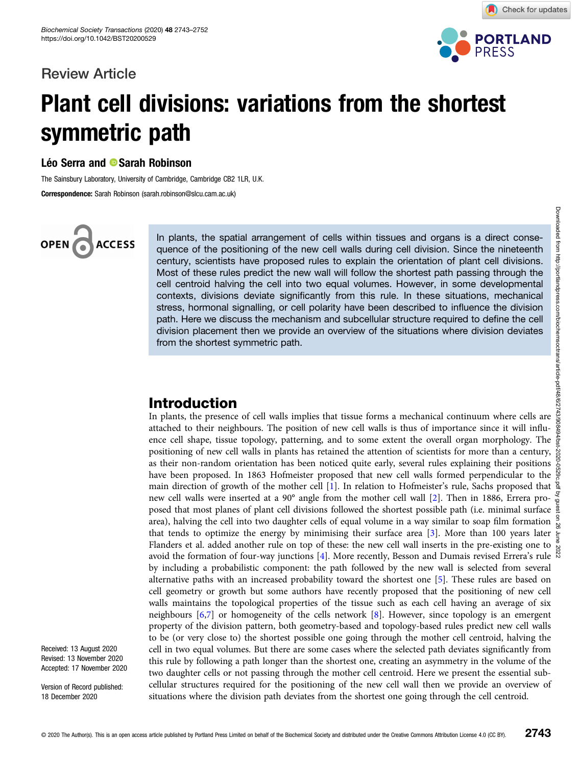### Review Article



Check for updates

# Plant cell divisions: variations from the shortest symmetric path

### Léo Serra and <sup>®</sup> Sarah Robinson

The Sainsbury Laboratory, University of Cambridge, Cambridge CB2 1LR, U.K.

Correspondence: Sarah Robinson (sarah.robinson@slcu.cam.ac.uk)

### OPEN G **ACCESS**

In plants, the spatial arrangement of cells within tissues and organs is a direct consequence of the positioning of the new cell walls during cell division. Since the nineteenth century, scientists have proposed rules to explain the orientation of plant cell divisions. Most of these rules predict the new wall will follow the shortest path passing through the cell centroid halving the cell into two equal volumes. However, in some developmental contexts, divisions deviate significantly from this rule. In these situations, mechanical stress, hormonal signalling, or cell polarity have been described to influence the division path. Here we discuss the mechanism and subcellular structure required to define the cell division placement then we provide an overview of the situations where division deviates from the shortest symmetric path.

### Introduction

In plants, the presence of cell walls implies that tissue forms a mechanical continuum where cells are attached to their neighbours. The position of new cell walls is thus of importance since it will influence cell shape, tissue topology, patterning, and to some extent the overall organ morphology. The positioning of new cell walls in plants has retained the attention of scientists for more than a century, positioning of new cell walls in plants has retained the attention of scientists for more than a century, as their non-random orientation has been noticed quite early, several rules explaining their positions  $\frac{8}{5}$ have been proposed. In 1863 Hofmeister proposed that new cell walls formed perpendicular to the main direction of growth of the mother cell [\[1\]](#page-7-0). In relation to Hofmeister's rule, Sachs proposed that  $\frac{8}{3}$ new cell walls were inserted at a 90° angle from the mother cell wall [\[2\]](#page-7-0). Then in 1886, Errera proposed that most planes of plant cell divisions followed the shortest possible path (i.e. minimal surface  $\frac{8}{4}$ area), halving the cell into two daughter cells of equal volume in a way similar to soap film formation  $\frac{9}{8}$ that tends to optimize the energy by minimising their surface area [[3](#page-7-0)]. More than 100 years later  $\frac{1}{5}$ Flanders et al. added another rule on top of these: the new cell wall inserts in the pre-existing one to avoid the formation of four-way junctions [\[4\]](#page-7-0). More recently, Besson and Dumais revised Errera's rule by including a probabilistic component: the path followed by the new wall is selected from several alternative paths with an increased probability toward the shortest one [[5](#page-7-0)]. These rules are based on cell geometry or growth but some authors have recently proposed that the positioning of new cell walls maintains the topological properties of the tissue such as each cell having an average of six neighbours [\[6,7](#page-7-0)] or homogeneity of the cells network [[8\]](#page-7-0). However, since topology is an emergent property of the division pattern, both geometry-based and topology-based rules predict new cell walls to be (or very close to) the shortest possible one going through the mother cell centroid, halving the cell in two equal volumes. But there are some cases where the selected path deviates significantly from this rule by following a path longer than the shortest one, creating an asymmetry in the volume of the two daughter cells or not passing through the mother cell centroid. Here we present the essential subcellular structures required for the positioning of the new cell wall then we provide an overview of situations where the division path deviates from the shortest one going through the cell centroid.

Received: 13 August 2020 Revised: 13 November 2020 Accepted: 17 November 2020

Version of Record published: 18 December 2020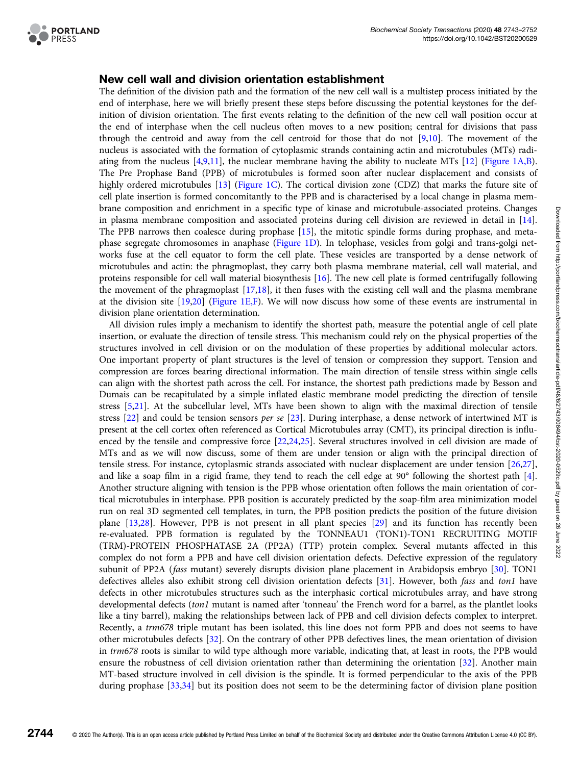

#### New cell wall and division orientation establishment

The definition of the division path and the formation of the new cell wall is a multistep process initiated by the end of interphase, here we will briefly present these steps before discussing the potential keystones for the definition of division orientation. The first events relating to the definition of the new cell wall position occur at the end of interphase when the cell nucleus often moves to a new position; central for divisions that pass through the centroid and away from the cell centroid for those that do not [[9](#page-7-0),[10](#page-7-0)]. The movement of the nucleus is associated with the formation of cytoplasmic strands containing actin and microtubules (MTs) radiating from the nucleus [[4,9,11](#page-7-0)], the nuclear membrane having the ability to nucleate MTs [[12](#page-7-0)] ([Figure 1A,B](#page-2-0)). The Pre Prophase Band (PPB) of microtubules is formed soon after nuclear displacement and consists of highly ordered microtubules [[13](#page-7-0)] ([Figure 1C](#page-2-0)). The cortical division zone (CDZ) that marks the future site of cell plate insertion is formed concomitantly to the PPB and is characterised by a local change in plasma membrane composition and enrichment in a specific type of kinase and microtubule-associated proteins. Changes in plasma membrane composition and associated proteins during cell division are reviewed in detail in [[14](#page-7-0)]. The PPB narrows then coalesce during prophase [\[15\]](#page-7-0), the mitotic spindle forms during prophase, and metaphase segregate chromosomes in anaphase [\(Figure 1D\)](#page-2-0). In telophase, vesicles from golgi and trans-golgi networks fuse at the cell equator to form the cell plate. These vesicles are transported by a dense network of microtubules and actin: the phragmoplast, they carry both plasma membrane material, cell wall material, and proteins responsible for cell wall material biosynthesis [\[16\]](#page-7-0). The new cell plate is formed centrifugally following the movement of the phragmoplast [[17,18](#page-7-0)], it then fuses with the existing cell wall and the plasma membrane at the division site [\[19,20](#page-7-0)] [\(Figure 1E,F](#page-2-0)). We will now discuss how some of these events are instrumental in division plane orientation determination.

All division rules imply a mechanism to identify the shortest path, measure the potential angle of cell plate insertion, or evaluate the direction of tensile stress. This mechanism could rely on the physical properties of the structures involved in cell division or on the modulation of these properties by additional molecular actors. One important property of plant structures is the level of tension or compression they support. Tension and compression are forces bearing directional information. The main direction of tensile stress within single cells can align with the shortest path across the cell. For instance, the shortest path predictions made by Besson and Dumais can be recapitulated by a simple inflated elastic membrane model predicting the direction of tensile stress [\[5,21\]](#page-7-0). At the subcellular level, MTs have been shown to align with the maximal direction of tensile stress [\[22\]](#page-7-0) and could be tension sensors per se [[23](#page-7-0)]. During interphase, a dense network of intertwined MT is present at the cell cortex often referenced as Cortical Microtubules array (CMT), its principal direction is influenced by the tensile and compressive force [\[22,24,25\]](#page-7-0). Several structures involved in cell division are made of MTs and as we will now discuss, some of them are under tension or align with the principal direction of tensile stress. For instance, cytoplasmic strands associated with nuclear displacement are under tension [[26](#page-7-0),[27](#page-8-0)], and like a soap film in a rigid frame, they tend to reach the cell edge at 90° following the shortest path [\[4](#page-7-0)]. Another structure aligning with tension is the PPB whose orientation often follows the main orientation of cortical microtubules in interphase. PPB position is accurately predicted by the soap-film area minimization model run on real 3D segmented cell templates, in turn, the PPB position predicts the position of the future division plane [[13](#page-7-0)[,28\]](#page-8-0). However, PPB is not present in all plant species [[29](#page-8-0)] and its function has recently been re-evaluated. PPB formation is regulated by the TONNEAU1 (TON1)-TON1 RECRUITING MOTIF (TRM)-PROTEIN PHOSPHATASE 2A (PP2A) (TTP) protein complex. Several mutants affected in this complex do not form a PPB and have cell division orientation defects. Defective expression of the regulatory subunit of PP2A (fass mutant) severely disrupts division plane placement in Arabidopsis embryo [\[30\]](#page-8-0). TON1 defectives alleles also exhibit strong cell division orientation defects [[31](#page-8-0)]. However, both fass and ton1 have defects in other microtubules structures such as the interphasic cortical microtubules array, and have strong developmental defects (ton1 mutant is named after 'tonneau' the French word for a barrel, as the plantlet looks like a tiny barrel), making the relationships between lack of PPB and cell division defects complex to interpret. Recently, a trm678 triple mutant has been isolated, this line does not form PPB and does not seems to have other microtubules defects [\[32\]](#page-8-0). On the contrary of other PPB defectives lines, the mean orientation of division in trm678 roots is similar to wild type although more variable, indicating that, at least in roots, the PPB would ensure the robustness of cell division orientation rather than determining the orientation [[32\]](#page-8-0). Another main MT-based structure involved in cell division is the spindle. It is formed perpendicular to the axis of the PPB during prophase [\[33,34\]](#page-8-0) but its position does not seem to be the determining factor of division plane position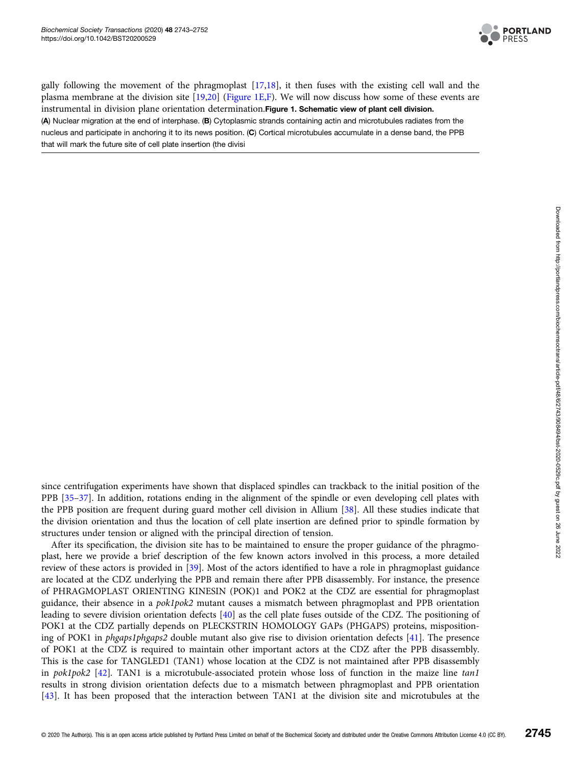

<span id="page-2-0"></span>gally following the movement of the phragmoplast [\[17,18\]](#page-7-0), it then fuses with the existing cell wall and the plasma membrane at the division site [\[19,20\]](#page-7-0) (Figure 1E,F). We will now discuss how some of these events are instrumental in division plane orientation determination.Figure 1. Schematic view of plant cell division. (A) Nuclear migration at the end of interphase. (B) Cytoplasmic strands containing actin and microtubules radiates from the nucleus and participate in anchoring it to its news position. (C) Cortical microtubules accumulate in a dense band, the PPB that will mark the future site of cell plate insertion (the divisi

since centrifugation experiments have shown that displaced spindles can trackback to the initial position of the PPB [[35](#page-8-0)–[37\]](#page-8-0). In addition, rotations ending in the alignment of the spindle or even developing cell plates with the PPB position are frequent during guard mother cell division in Allium [\[38\]](#page-8-0). All these studies indicate that the division orientation and thus the location of cell plate insertion are defined prior to spindle formation by structures under tension or aligned with the principal direction of tension.

After its specification, the division site has to be maintained to ensure the proper guidance of the phragmoplast, here we provide a brief description of the few known actors involved in this process, a more detailed review of these actors is provided in [[39](#page-8-0)]. Most of the actors identified to have a role in phragmoplast guidance are located at the CDZ underlying the PPB and remain there after PPB disassembly. For instance, the presence of PHRAGMOPLAST ORIENTING KINESIN (POK)1 and POK2 at the CDZ are essential for phragmoplast guidance, their absence in a pok1pok2 mutant causes a mismatch between phragmoplast and PPB orientation leading to severe division orientation defects [\[40\]](#page-8-0) as the cell plate fuses outside of the CDZ. The positioning of POK1 at the CDZ partially depends on PLECKSTRIN HOMOLOGY GAPs (PHGAPS) proteins, mispositioning of POK1 in phgaps1phgaps2 double mutant also give rise to division orientation defects [\[41\]](#page-8-0). The presence of POK1 at the CDZ is required to maintain other important actors at the CDZ after the PPB disassembly. This is the case for TANGLED1 (TAN1) whose location at the CDZ is not maintained after PPB disassembly in pok1pok2 [[42](#page-8-0)]. TAN1 is a microtubule-associated protein whose loss of function in the maize line tan1 results in strong division orientation defects due to a mismatch between phragmoplast and PPB orientation [[43\]](#page-8-0). It has been proposed that the interaction between TAN1 at the division site and microtubules at the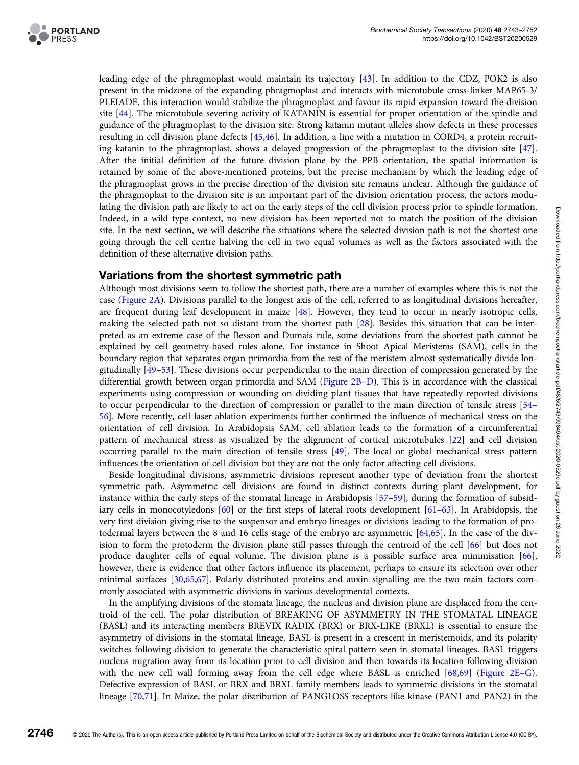

leading edge of the phragmoplast would maintain its trajectory [\[43\]](#page-8-0). In addition to the CDZ, POK2 is also present in the midzone of the expanding phragmoplast and interacts with microtubule cross-linker MAP65-3/ PLEIADE, this interaction would stabilize the phragmoplast and favour its rapid expansion toward the division site [\[44\]](#page-8-0). The microtubule severing activity of KATANIN is essential for proper orientation of the spindle and guidance of the phragmoplast to the division site. Strong katanin mutant alleles show defects in these processes resulting in cell division plane defects [[45,46](#page-8-0)]. In addition, a line with a mutation in CORD4, a protein recruiting katanin to the phragmoplast, shows a delayed progression of the phragmoplast to the division site [[47](#page-8-0)]. After the initial definition of the future division plane by the PPB orientation, the spatial information is retained by some of the above-mentioned proteins, but the precise mechanism by which the leading edge of the phragmoplast grows in the precise direction of the division site remains unclear. Although the guidance of the phragmoplast to the division site is an important part of the division orientation process, the actors modulating the division path are likely to act on the early steps of the cell division process prior to spindle formation. Indeed, in a wild type context, no new division has been reported not to match the position of the division site. In the next section, we will describe the situations where the selected division path is not the shortest one going through the cell centre halving the cell in two equal volumes as well as the factors associated with the definition of these alternative division paths.

#### Variations from the shortest symmetric path

Although most divisions seem to follow the shortest path, there are a number of examples where this is not the case ([Figure 2A](#page-4-0)). Divisions parallel to the longest axis of the cell, referred to as longitudinal divisions hereafter, are frequent during leaf development in maize [[48](#page-8-0)]. However, they tend to occur in nearly isotropic cells, making the selected path not so distant from the shortest path [\[28](#page-8-0)]. Besides this situation that can be interpreted as an extreme case of the Besson and Dumais rule, some deviations from the shortest path cannot be explained by cell geometry-based rules alone. For instance in Shoot Apical Meristems (SAM), cells in the boundary region that separates organ primordia from the rest of the meristem almost systematically divide longitudinally [\[49](#page-8-0)–[53](#page-8-0)]. These divisions occur perpendicular to the main direction of compression generated by the differential growth between organ primordia and SAM ([Figure 2B](#page-4-0)–D). This is in accordance with the classical experiments using compression or wounding on dividing plant tissues that have repeatedly reported divisions to occur perpendicular to the direction of compression or parallel to the main direction of tensile stress [\[54](#page-8-0)– [56\]](#page-8-0). More recently, cell laser ablation experiments further confirmed the influence of mechanical stress on the orientation of cell division. In Arabidopsis SAM, cell ablation leads to the formation of a circumferential pattern of mechanical stress as visualized by the alignment of cortical microtubules [\[22\]](#page-7-0) and cell division occurring parallel to the main direction of tensile stress [\[49](#page-8-0)]. The local or global mechanical stress pattern influences the orientation of cell division but they are not the only factor affecting cell divisions.

Beside longitudinal divisions, asymmetric divisions represent another type of deviation from the shortest symmetric path. Asymmetric cell divisions are found in distinct contexts during plant development, for instance within the early steps of the stomatal lineage in Arabidopsis [[57](#page-8-0)–[59](#page-8-0)], during the formation of subsidiary cells in monocotyledons [[60](#page-8-0)] or the first steps of lateral roots development [[61](#page-9-0)–[63](#page-9-0)]. In Arabidopsis, the very first division giving rise to the suspensor and embryo lineages or divisions leading to the formation of protodermal layers between the 8 and 16 cells stage of the embryo are asymmetric [\[64,65\]](#page-9-0). In the case of the division to form the protoderm the division plane still passes through the centroid of the cell [[66](#page-9-0)] but does not produce daughter cells of equal volume. The division plane is a possible surface area minimisation [[66](#page-9-0)], however, there is evidence that other factors influence its placement, perhaps to ensure its selection over other minimal surfaces [[30,](#page-8-0)[65](#page-9-0),[67](#page-9-0)]. Polarly distributed proteins and auxin signalling are the two main factors commonly associated with asymmetric divisions in various developmental contexts.

In the amplifying divisions of the stomata lineage, the nucleus and division plane are displaced from the centroid of the cell. The polar distribution of BREAKING OF ASYMMETRY IN THE STOMATAL LINEAGE (BASL) and its interacting members BREVIX RADIX (BRX) or BRX-LIKE (BRXL) is essential to ensure the asymmetry of divisions in the stomatal lineage. BASL is present in a crescent in meristemoids, and its polarity switches following division to generate the characteristic spiral pattern seen in stomatal lineages. BASL triggers nucleus migration away from its location prior to cell division and then towards its location following division with the new cell wall forming away from the cell edge where BASL is enriched [[68](#page-9-0),[69](#page-9-0)] [\(Figure 2E](#page-4-0)–G). Defective expression of BASL or BRX and BRXL family members leads to symmetric divisions in the stomatal lineage [[70,71](#page-9-0)]. In Maize, the polar distribution of PANGLOSS receptors like kinase (PAN1 and PAN2) in the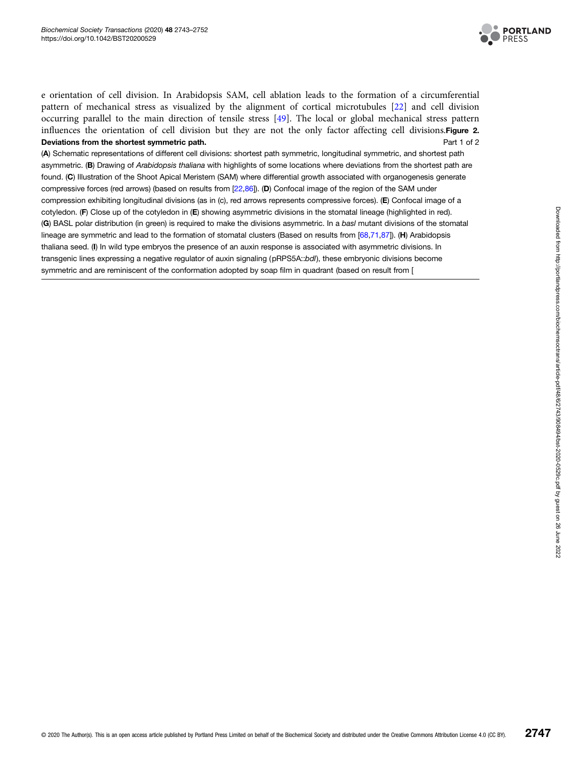

<span id="page-4-0"></span>e orientation of cell division. In Arabidopsis SAM, cell ablation leads to the formation of a circumferential pattern of mechanical stress as visualized by the alignment of cortical microtubules [[22](#page-7-0)] and cell division occurring parallel to the main direction of tensile stress [[49\]](#page-8-0). The local or global mechanical stress pattern influences the orientation of cell division but they are not the only factor affecting cell divisions.Figure 2. Deviations from the shortest symmetric path. Deviations of 2 and 2 and 2 and 2 and 2 and 2 and 2 and 2 and 2 and 2 and 2 and 2 and 2 and 2 and 2 and 2 and 2 and 2 and 2 and 2 and 2 and 2 and 2 and 2 and 2 and 2 and 2 and 2

(A) Schematic representations of different cell divisions: shortest path symmetric, longitudinal symmetric, and shortest path asymmetric. (B) Drawing of Arabidopsis thaliana with highlights of some locations where deviations from the shortest path are found. (C) Illustration of the Shoot Apical Meristem (SAM) where differential growth associated with organogenesis generate compressive forces (red arrows) (based on results from [\[22,](#page-7-0)[86\]](#page-9-0)). (D) Confocal image of the region of the SAM under compression exhibiting longitudinal divisions (as in (c), red arrows represents compressive forces). (E) Confocal image of a cotyledon. (F) Close up of the cotyledon in (E) showing asymmetric divisions in the stomatal lineage (highlighted in red). (G) BASL polar distribution (in green) is required to make the divisions asymmetric. In a basl mutant divisions of the stomatal lineage are symmetric and lead to the formation of stomatal clusters (Based on results from [\[68,71,87\]](#page-9-0)). (H) Arabidopsis thaliana seed. (I) In wild type embryos the presence of an auxin response is associated with asymmetric divisions. In transgenic lines expressing a negative regulator of auxin signaling (pRPS5A::bdl), these embryonic divisions become symmetric and are reminiscent of the conformation adopted by soap film in quadrant (based on result from [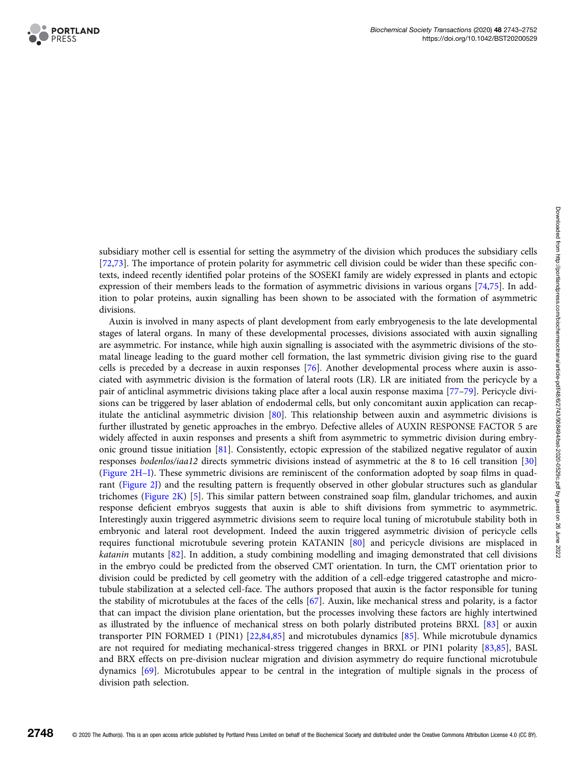

subsidiary mother cell is essential for setting the asymmetry of the division which produces the subsidiary cells [[72,73\]](#page-9-0). The importance of protein polarity for asymmetric cell division could be wider than these specific contexts, indeed recently identified polar proteins of the SOSEKI family are widely expressed in plants and ectopic expression of their members leads to the formation of asymmetric divisions in various organs [[74](#page-9-0),[75](#page-9-0)]. In addition to polar proteins, auxin signalling has been shown to be associated with the formation of asymmetric divisions.

Auxin is involved in many aspects of plant development from early embryogenesis to the late developmental stages of lateral organs. In many of these developmental processes, divisions associated with auxin signalling are asymmetric. For instance, while high auxin signalling is associated with the asymmetric divisions of the stomatal lineage leading to the guard mother cell formation, the last symmetric division giving rise to the guard cells is preceded by a decrease in auxin responses [\[76\]](#page-9-0). Another developmental process where auxin is associated with asymmetric division is the formation of lateral roots (LR). LR are initiated from the pericycle by a pair of anticlinal asymmetric divisions taking place after a local auxin response maxima [[77](#page-9-0)–[79\]](#page-9-0). Pericycle divisions can be triggered by laser ablation of endodermal cells, but only concomitant auxin application can recapitulate the anticlinal asymmetric division [[80](#page-9-0)]. This relationship between auxin and asymmetric divisions is further illustrated by genetic approaches in the embryo. Defective alleles of AUXIN RESPONSE FACTOR 5 are widely affected in auxin responses and presents a shift from asymmetric to symmetric division during embryonic ground tissue initiation [[81](#page-9-0)]. Consistently, ectopic expression of the stabilized negative regulator of auxin responses bodenlos/iaa12 directs symmetric divisions instead of asymmetric at the 8 to 16 cell transition [[30](#page-8-0)] ([Figure 2H](#page-4-0)–I). These symmetric divisions are reminiscent of the conformation adopted by soap films in quadrant ([Figure 2J\)](#page-4-0) and the resulting pattern is frequently observed in other globular structures such as glandular trichomes ([Figure 2K\)](#page-4-0) [[5\]](#page-7-0). This similar pattern between constrained soap film, glandular trichomes, and auxin response deficient embryos suggests that auxin is able to shift divisions from symmetric to asymmetric. Interestingly auxin triggered asymmetric divisions seem to require local tuning of microtubule stability both in embryonic and lateral root development. Indeed the auxin triggered asymmetric division of pericycle cells requires functional microtubule severing protein KATANIN [[80\]](#page-9-0) and pericycle divisions are misplaced in katanin mutants [\[82\]](#page-9-0). In addition, a study combining modelling and imaging demonstrated that cell divisions in the embryo could be predicted from the observed CMT orientation. In turn, the CMT orientation prior to division could be predicted by cell geometry with the addition of a cell-edge triggered catastrophe and microtubule stabilization at a selected cell-face. The authors proposed that auxin is the factor responsible for tuning the stability of microtubules at the faces of the cells [[67](#page-9-0)]. Auxin, like mechanical stress and polarity, is a factor that can impact the division plane orientation, but the processes involving these factors are highly intertwined as illustrated by the influence of mechanical stress on both polarly distributed proteins BRXL [[83](#page-9-0)] or auxin transporter PIN FORMED 1 (PIN1) [[22,](#page-7-0)[84](#page-9-0),[85](#page-9-0)] and microtubules dynamics [\[85\]](#page-9-0). While microtubule dynamics are not required for mediating mechanical-stress triggered changes in BRXL or PIN1 polarity [[83](#page-9-0),[85](#page-9-0)], BASL and BRX effects on pre-division nuclear migration and division asymmetry do require functional microtubule dynamics [[69](#page-9-0)]. Microtubules appear to be central in the integration of multiple signals in the process of division path selection.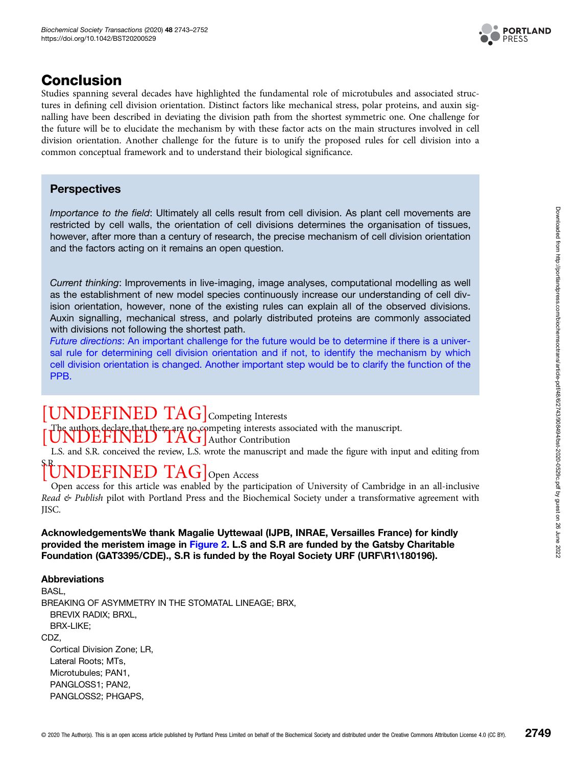

### Conclusion

Studies spanning several decades have highlighted the fundamental role of microtubules and associated structures in defining cell division orientation. Distinct factors like mechanical stress, polar proteins, and auxin signalling have been described in deviating the division path from the shortest symmetric one. One challenge for the future will be to elucidate the mechanism by with these factor acts on the main structures involved in cell division orientation. Another challenge for the future is to unify the proposed rules for cell division into a common conceptual framework and to understand their biological significance.

### **Perspectives**

Importance to the field: Ultimately all cells result from cell division. As plant cell movements are restricted by cell walls, the orientation of cell divisions determines the organisation of tissues, however, after more than a century of research, the precise mechanism of cell division orientation and the factors acting on it remains an open question.

Current thinking: Improvements in live-imaging, image analyses, computational modelling as well as the establishment of new model species continuously increase our understanding of cell division orientation, however, none of the existing rules can explain all of the observed divisions. Auxin signalling, mechanical stress, and polarly distributed proteins are commonly associated with divisions not following the shortest path.

Future directions: An important challenge for the future would be to determine if there is a universal rule for determining cell division orientation and if not, to identify the mechanism by which cell division orientation is changed. Another important step would be to clarify the function of the PPB.

## [UNDEFINED TAG] Competing Interests

The authors declare that there are no competing interests associated with the manuscript.<br> $\overline{UNDEFINED}$  TAG] Author Contribution

L.S. and S.R. conceived the review, L.S. wrote the manuscript and made the figure with input and editing from

# FINED TAG Open Access

Open access for this article was enabled by the participation of University of Cambridge in an all-inclusive Read  $\mathfrak{G}$  Publish pilot with Portland Press and the Biochemical Society under a transformative agreement with JISC.

AcknowledgementsWe thank Magalie Uyttewaal (IJPB, INRAE, Versailles France) for kindly provided the meristem image in [Figure 2](#page-4-0). L.S and S.R are funded by the Gatsby Charitable Foundation (GAT3395/CDE)., S.R is funded by the Royal Society URF (URF\R1\180196).

#### Abbreviations

BASL, BREAKING OF ASYMMETRY IN THE STOMATAL LINEAGE; BRX, BREVIX RADIX; BRXL, BRX-LIKE; CDZ, Cortical Division Zone; LR, Lateral Roots; MTs, Microtubules; PAN1, PANGLOSS1; PAN2, PANGLOSS2; PHGAPS,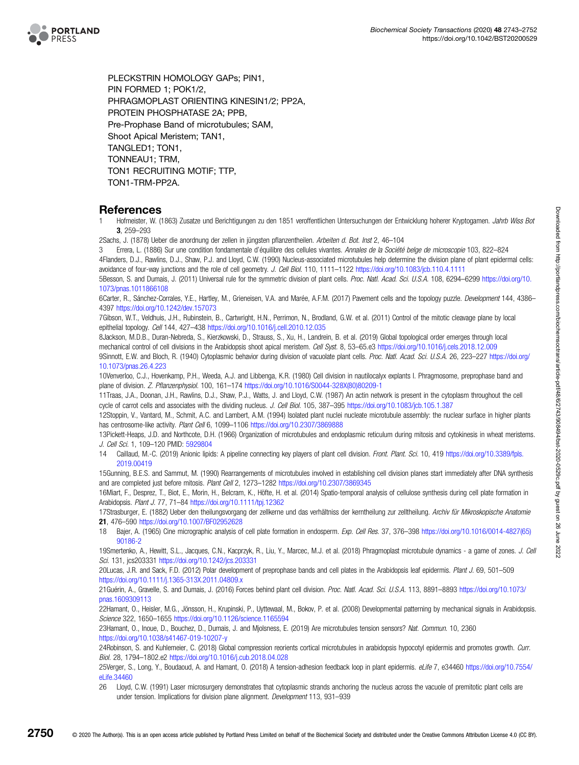<span id="page-7-0"></span>

PLECKSTRIN HOMOLOGY GAPs; PIN1, PIN FORMED 1; POK1/2, PHRAGMOPLAST ORIENTING KINESIN1/2; PP2A, PROTEIN PHOSPHATASE 2A; PPB, Pre-Prophase Band of microtubules; SAM, Shoot Apical Meristem; TAN1, TANGLED1; TON1, TONNEAU1; TRM, TON1 RECRUITING MOTIF; TTP, TON1-TRM-PP2A.

#### References

1 Hofmeister, W. (1863) Zusatze und Berichtigungen zu den 1851 veroffentlichen Untersuchungen der Entwicklung hoherer Kryptogamen. Jahrb Wiss Bot 3, 259–293

2Sachs, J. (1878) Ueber die anordnung der zellen in jüngsten pflanzentheilen. Arbeiten d. Bot. Inst 2, 46–104

3 Errera, L. (1886) Sur une condition fondamentale d'équilibre des cellules vivantes. Annales de la Société belge de microscopie 103, 822–824 4Flanders, D.J., Rawlins, D.J., Shaw, P.J. and Lloyd, C.W. (1990) Nucleus-associated microtubules help determine the division plane of plant epidermal cells: avoidance of four-way junctions and the role of cell geometry. J. Cell Biol. 110, 1111–1122 <https://doi.org/10.1083/jcb.110.4.1111>

5Besson, S. and Dumais, J. (2011) Universal rule for the symmetric division of plant cells. Proc. Natl. Acad. Sci. U.S.A. 108, 6294–6299 [https://doi.org/10.](https://doi.org/10.1073/pnas.1011866108) [1073/pnas.1011866108](https://doi.org/10.1073/pnas.1011866108)

6Carter, R., Sánchez-Corrales, Y.E., Hartley, M., Grieneisen, V.A. and Marée, A.F.M. (2017) Pavement cells and the topology puzzle. Development 144, 4386– 4397 <https://doi.org/10.1242/dev.157073>

7Gibson, W.T., Veldhuis, J.H., Rubinstein, B., Cartwright, H.N., Perrimon, N., Brodland, G.W. et al. (2011) Control of the mitotic cleavage plane by local epithelial topology. Cell 144, 427–438 <https://doi.org/10.1016/j.cell.2010.12.035>

8Jackson, M.D.B., Duran-Nebreda, S., Kierzkowski, D., Strauss, S., Xu, H., Landrein, B. et al. (2019) Global topological order emerges through local mechanical control of cell divisions in the Arabidopsis shoot apical meristem. Cell Syst. 8, 53–65.e3 <https://doi.org/10.1016/j.cels.2018.12.009> 9Sinnott, E.W. and Bloch, R. (1940) Cytoplasmic behavior during division of vacuolate plant cells. Proc. Natl. Acad. Sci. U.S.A. 26, 223–227 [https://doi.org/](https://doi.org/10.1073/pnas.26.4.223) [10.1073/pnas.26.4.223](https://doi.org/10.1073/pnas.26.4.223)

10Venverloo, C.J., Hovenkamp, P.H., Weeda, A.J. and Libbenga, K.R. (1980) Cell division in nautilocalyx explants I. Phragmosome, preprophase band and plane of division. Z. Pflanzenphysiol. 100, 161–174 [https://doi.org/10.1016/S0044-328X\(80\)80209-1](https://doi.org/10.1016/S0044-328X(80)80209-1)

11Traas, J.A., Doonan, J.H., Rawlins, D.J., Shaw, P.J., Watts, J. and Lloyd, C.W. (1987) An actin network is present in the cytoplasm throughout the cell cycle of carrot cells and associates with the dividing nucleus. J. Cell Biol. 105, 387-395 <https://doi.org/10.1083/jcb.105.1.387>

12Stoppin, V., Vantard, M., Schmit, A.C. and Lambert, A.M. (1994) Isolated plant nuclei nucleate microtubule assembly: the nuclear surface in higher plants has centrosome-like activity. Plant Cell 6, 1099-1106 <https://doi.org/10.2307/3869888>

13Pickett-Heaps, J.D. and Northcote, D.H. (1966) Organization of microtubules and endoplasmic reticulum during mitosis and cytokinesis in wheat meristems. J. Cell Sci. 1, 109–120 PMID: [5929804](http://www.ncbi.nlm.nih.gov/pubmed/5929804)

14 Caillaud, M.-C. (2019) Anionic lipids: A pipeline connecting key players of plant cell division. Front. Plant. Sci. 10, 419 [https://doi.org/10.3389/fpls.](https://doi.org/10.3389/fpls.2019.00419) [2019.00419](https://doi.org/10.3389/fpls.2019.00419)

15Gunning, B.E.S. and Sammut, M. (1990) Rearrangements of microtubules involved in establishing cell division planes start immediately after DNA synthesis and are completed just before mitosis. Plant Cell 2, 1273–1282 <https://doi.org/10.2307/3869345>

16Miart, F., Desprez, T., Biot, E., Morin, H., Belcram, K., Höfte, H. et al. (2014) Spatio-temporal analysis of cellulose synthesis during cell plate formation in Arabidopsis. Plant J. 77, 71–84 <https://doi.org/10.1111/tpj.12362>

17Strasburger, E. (1882) Ueber den theilungsvorgang der zellkerne und das verhältniss der kerntheilung zur zelltheilung. Archiv für Mikroskopische Anatomie 21, 476–590 <https://doi.org/10.1007/BF02952628>

18 Bajer, A. (1965) Cine micrographic analysis of cell plate formation in endosperm. Exp. Cell Res. 37, 376–398 [https://doi.org/10.1016/0014-4827\(65\)](https://doi.org/10.1016/0014-4827(65)90186-2) [90186-2](https://doi.org/10.1016/0014-4827(65)90186-2)

19Smertenko, A., Hewitt, S.L., Jacques, C.N., Kacprzyk, R., Liu, Y., Marcec, M.J. et al. (2018) Phragmoplast microtubule dynamics - a game of zones. J. Cell Sci. 131, jcs203331 <https://doi.org/10.1242/jcs.203331>

20Lucas, J.R. and Sack, F.D. (2012) Polar development of preprophase bands and cell plates in the Arabidopsis leaf epidermis. Plant J. 69, 501–509 <https://doi.org/10.1111/j.1365-313X.2011.04809.x>

21Guérin, A., Gravelle, S. and Dumais, J. (2016) Forces behind plant cell division. Proc. Natl. Acad. Sci. U.S.A. 113, 8891–8893 [https://doi.org/10.1073/](https://doi.org/10.1073/pnas.1609309113) [pnas.1609309113](https://doi.org/10.1073/pnas.1609309113)

22Hamant, O., Heisler, M.G., Jönsson, H., Krupinski, P., Uyttewaal, M., Bokov, P. et al. (2008) Developmental patterning by mechanical signals in Arabidopsis. Science 322, 1650–1655 <https://doi.org/10.1126/science.1165594>

23Hamant, O., Inoue, D., Bouchez, D., Dumais, J. and Mjolsness, E. (2019) Are microtubules tension sensors? Nat. Commun. 10, 2360 <https://doi.org/10.1038/s41467-019-10207-y>

24Robinson, S. and Kuhlemeier, C. (2018) Global compression reorients cortical microtubules in arabidopsis hypocotyl epidermis and promotes growth. Curr. Biol. 28, 1794–1802.e2 <https://doi.org/10.1016/j.cub.2018.04.028>

25Verger, S., Long, Y., Boudaoud, A. and Hamant, O. (2018) A tension-adhesion feedback loop in plant epidermis. eLife 7, e34460 [https://doi.org/10.7554/](https://doi.org/10.7554/eLife.34460) [eLife.34460](https://doi.org/10.7554/eLife.34460)

26 Lloyd, C.W. (1991) Laser microsurgery demonstrates that cytoplasmic strands anchoring the nucleus across the vacuole of premitotic plant cells are under tension. Implications for division plane alignment. Development 113, 931-939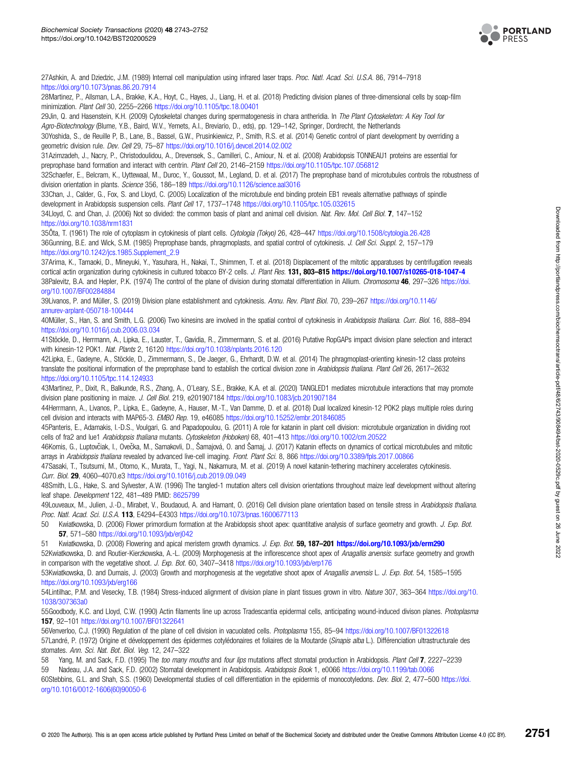

<span id="page-8-0"></span>27Ashkin, A. and Dziedzic, J.M. (1989) Internal cell manipulation using infrared laser traps. Proc. Natl. Acad. Sci. U.S.A. 86, 7914-7918 <https://doi.org/10.1073/pnas.86.20.7914>

28Martinez, P., Allsman, L.A., Brakke, K.A., Hoyt, C., Hayes, J., Liang, H. et al. (2018) Predicting division planes of three-dimensional cells by soap-film minimization. Plant Cell 30, 2255–2266 <https://doi.org/10.1105/tpc.18.00401>

29Jin, Q. and Hasenstein, K.H. (2009) Cytoskeletal changes during spermatogenesis in chara antheridia. In The Plant Cytoskeleton: A Key Tool for Agro-Biotechnology (Blume, Y.B., Baird, W.V., Yemets, A.I., Breviario, D., eds), pp. 129–142, Springer, Dordrecht, the Netherlands

30Yoshida, S., de Reuille P, B., Lane, B., Bassel, G.W., Prusinkiewicz, P., Smith, R.S. et al. (2014) Genetic control of plant development by overriding a geometric division rule. Dev. Cell 29, 75–87 <https://doi.org/10.1016/j.devcel.2014.02.002>

31Azimzadeh, J., Nacry, P., Christodoulidou, A., Drevensek, S., Camilleri, C., Amiour, N. et al. (2008) Arabidopsis TONNEAU1 proteins are essential for preprophase band formation and interact with centrin. Plant Cell 20, 2146–2159 <https://doi.org/10.1105/tpc.107.056812>

32Schaefer, E., Belcram, K., Uyttewaal, M., Duroc, Y., Goussot, M., Legland, D. et al. (2017) The preprophase band of microtubules controls the robustness of division orientation in plants. Science 356, 186-189 <https://doi.org/10.1126/science.aal3016>

33Chan, J., Calder, G., Fox, S. and Lloyd, C. (2005) Localization of the microtubule end binding protein EB1 reveals alternative pathways of spindle development in Arabidopsis suspension cells. Plant Cell 17, 1737–1748 <https://doi.org/10.1105/tpc.105.032615>

34Lloyd, C. and Chan, J. (2006) Not so divided: the common basis of plant and animal cell division. Nat. Rev. Mol. Cell Biol. 7, 147–152 <https://doi.org/10.1038/nrm1831>

35Ôta, T. (1961) The role of cytoplasm in cytokinesis of plant cells. Cytologia (Tokyo) 26, 428–447 <https://doi.org/10.1508/cytologia.26.428> 36Gunning, B.E. and Wick, S.M. (1985) Preprophase bands, phragmoplasts, and spatial control of cytokinesis. J. Cell Sci. Suppl. 2, 157-179 [https://doi.org/10.1242/jcs.1985.Supplement\\_2.9](https://doi.org/10.1242/jcs.1985.Supplement_2.9)

37Arima, K., Tamaoki, D., Mineyuki, Y., Yasuhara, H., Nakai, T., Shimmen, T. et al. (2018) Displacement of the mitotic apparatuses by centrifugation reveals cortical actin organization during cytokinesis in cultured tobacco BY-2 cells. J. Plant Res. 131, 803-815 <https://doi.org/10.1007/s10265-018-1047-4> 38Palevitz, B.A. and Hepler, P.K. (1974) The control of the plane of division during stomatal differentiation in Allium. Chromosoma 46, 297-326 [https://doi.](https://doi.org/10.1007/BF00284884) [org/10.1007/BF00284884](https://doi.org/10.1007/BF00284884)

39Livanos, P. and Müller, S. (2019) Division plane establishment and cytokinesis. Annu. Rev. Plant Biol. 70, 239–267 [https://doi.org/10.1146/](https://doi.org/10.1146/annurev-arplant-050718-100444) [annurev-arplant-050718-100444](https://doi.org/10.1146/annurev-arplant-050718-100444)

40Müller, S., Han, S. and Smith, L.G. (2006) Two kinesins are involved in the spatial control of cytokinesis in Arabidopsis thaliana. Curr. Biol. 16, 888-894 <https://doi.org/10.1016/j.cub.2006.03.034>

41Stöckle, D., Herrmann, A., Lipka, E., Lauster, T., Gavidia, R., Zimmermann, S. et al. (2016) Putative RopGAPs impact division plane selection and interact with kinesin-12 POK1. Nat. Plants 2, 16120 <https://doi.org/10.1038/nplants.2016.120>

42Lipka, E., Gadeyne, A., Stöckle, D., Zimmermann, S., De Jaeger, G., Ehrhardt, D.W. et al. (2014) The phragmoplast-orienting kinesin-12 class proteins translate the positional information of the preprophase band to establish the cortical division zone in Arabidopsis thaliana. Plant Cell 26, 2617–2632 <https://doi.org/10.1105/tpc.114.124933>

43Martinez, P., Dixit, R., Balkunde, R.S., Zhang, A., O'Leary, S.E., Brakke, K.A. et al. (2020) TANGLED1 mediates microtubule interactions that may promote division plane positioning in maize. J. Cell Biol. 219, e201907184 <https://doi.org/10.1083/jcb.201907184>

44Herrmann, A., Livanos, P., Lipka, E., Gadeyne, A., Hauser, M.-T., Van Damme, D. et al. (2018) Dual localized kinesin-12 POK2 plays multiple roles during cell division and interacts with MAP65-3. EMBO Rep. 19, e46085 <https://doi.org/10.15252/embr.201846085>

45Panteris, E., Adamakis, I.-D.S., Voulgari, G. and Papadopoulou, G. (2011) A role for katanin in plant cell division: microtubule organization in dividing root cells of fra2 and lue1 Arabidopsis thaliana mutants. Cytoskeleton (Hoboken) 68, 401-413 <https://doi.org/10.1002/cm.20522>

46Komis, G., Luptovčiak, I., Ovečka, M., Samakovli, D., Šamajová, O. and Šamaj, J. (2017) Katanin effects on dynamics of cortical microtubules and mitotic arrays in Arabidopsis thaliana revealed by advanced live-cell imaging. Front. Plant Sci. 8, 866 <https://doi.org/10.3389/fpls.2017.00866>

47Sasaki, T., Tsutsumi, M., Otomo, K., Murata, T., Yagi, N., Nakamura, M. et al. (2019) A novel katanin-tethering machinery accelerates cytokinesis. Curr. Biol. 29, 4060–4070.e3 <https://doi.org/10.1016/j.cub.2019.09.049>

48Smith, L.G., Hake, S. and Sylvester, A.W. (1996) The tangled-1 mutation alters cell division orientations throughout maize leaf development without altering leaf shape. Development 122, 481–489 PMID: [8625799](http://www.ncbi.nlm.nih.gov/pubmed/8625799)

49Louveaux, M., Julien, J.-D., Mirabet, V., Boudaoud, A. and Hamant, O. (2016) Cell division plane orientation based on tensile stress in Arabidopsis thaliana. Proc. Natl. Acad. Sci. U.S.A. 113, E4294-E4303 <https://doi.org/10.1073/pnas.1600677113>

50 Kwiatkowska, D. (2006) Flower primordium formation at the Arabidopsis shoot apex: quantitative analysis of surface geometry and growth. J. Exp. Bot. 57, 571–580 <https://doi.org/10.1093/jxb/erj042>

51 Kwiatkowska, D. (2008) Flowering and apical meristem growth dynamics. J. Exp. Bot. 59, 187-201 <https://doi.org/10.1093/jxb/erm290> 52Kwiatkowska, D. and Routier-Kierzkowska, A.-L. (2009) Morphogenesis at the inflorescence shoot apex of Anagallis arvensis: surface geometry and growth in comparison with the vegetative shoot. J. Exp. Bot. 60, 3407-3418 <https://doi.org/10.1093/jxb/erp176>

53Kwiatkowska, D. and Dumais, J. (2003) Growth and morphogenesis at the vegetative shoot apex of Anagallis arvensis L. J. Exp. Bot. 54, 1585-1595 <https://doi.org/10.1093/jxb/erg166>

54Lintilhac, P.M. and Vesecky, T.B. (1984) Stress-induced alignment of division plane in plant tissues grown in vitro. Nature 307, 363–364 [https://doi.org/10.](https://doi.org/10.1038/307363a0) [1038/307363a0](https://doi.org/10.1038/307363a0)

55Goodbody, K.C. and Lloyd, C.W. (1990) Actin filaments line up across Tradescantia epidermal cells, anticipating wound-induced divison planes. Protoplasma 157, 92–101 <https://doi.org/10.1007/BF01322641>

56Venverloo, C.J. (1990) Regulation of the plane of cell division in vacuolated cells. Protoplasma 155, 85–94 <https://doi.org/10.1007/BF01322618> 57Landré, P. (1972) Origine et développement des épidermes cotylédonaires et foliaires de la Moutarde (Sinapis alba L.). Différenciation ultrastructurale des stomates. Ann. Sci. Nat. Bot. Biol. Veg. 12, 247–322

Yang, M. and Sack, F.D. (1995) The too many mouths and four lips mutations affect stomatal production in Arabidopsis. Plant Cell 7, 2227–2239 59 Nadeau, J.A. and Sack, F.D. (2002) Stomatal development in Arabidopsis. Arabidopsis Book 1, e0066 <https://doi.org/10.1199/tab.0066>

60Stebbins, G.L. and Shah, S.S. (1960) Developmental studies of cell differentiation in the epidermis of monocotyledons. Dev. Biol. 2, 477-500 [https://doi.](https://doi.org/10.1016/0012-1606(60)90050-6) [org/10.1016/0012-1606\(60\)90050-6](https://doi.org/10.1016/0012-1606(60)90050-6)